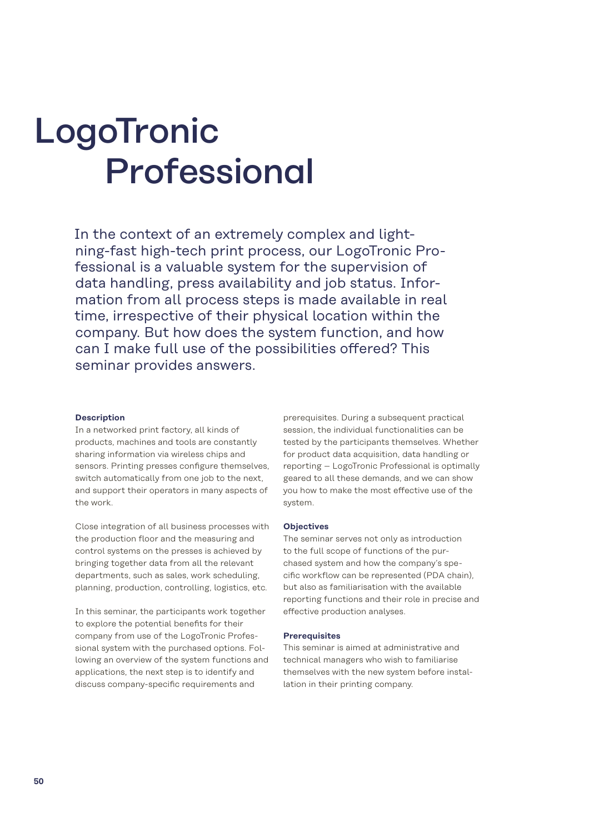# LogoTronic Professional

In the context of an extremely complex and lightning-fast high-tech print process, our LogoTronic Professional is a valuable system for the supervision of data handling, press availability and job status. Information from all process steps is made available in real time, irrespective of their physical location within the company. But how does the system function, and how can I make full use of the possibilities offered? This seminar provides answers.

#### **Description**

In a networked print factory, all kinds of products, machines and tools are constantly sharing information via wireless chips and sensors. Printing presses configure themselves, switch automatically from one job to the next, and support their operators in many aspects of the work.

Close integration of all business processes with the production floor and the measuring and control systems on the presses is achieved by bringing together data from all the relevant departments, such as sales, work scheduling, planning, production, controlling, logistics, etc.

In this seminar, the participants work together to explore the potential benefits for their company from use of the LogoTronic Professional system with the purchased options. Following an overview of the system functions and applications, the next step is to identify and discuss company-specific requirements and

prerequisites. During a subsequent practical session, the individual functionalities can be tested by the participants themselves. Whether for product data acquisition, data handling or reporting – LogoTronic Professional is optimally geared to all these demands, and we can show you how to make the most effective use of the system.

#### **Objectives**

The seminar serves not only as introduction to the full scope of functions of the purchased system and how the company's specific workflow can be represented (PDA chain), but also as familiarisation with the available reporting functions and their role in precise and effective production analyses.

#### **Prerequisites**

This seminar is aimed at administrative and technical managers who wish to familiarise themselves with the new system before installation in their printing company.